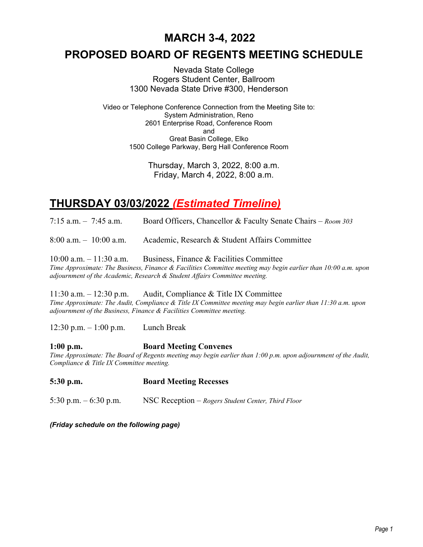#### **MARCH 3-4, 2022**

#### **PROPOSED BOARD OF REGENTS MEETING SCHEDULE**

Nevada State College Rogers Student Center, Ballroom 1300 Nevada State Drive #300, Henderson

Video or Telephone Conference Connection from the Meeting Site to: System Administration, Reno 2601 Enterprise Road, Conference Room and Great Basin College, Elko 1500 College Parkway, Berg Hall Conference Room

> Thursday, March 3, 2022, 8:00 a.m. Friday, March 4, 2022, 8:00 a.m.

#### **THURSDAY 03/03/2022** *(Estimated Timeline)*

7:15 a.m. – 7:45 a.m. Board Officers, Chancellor & Faculty Senate Chairs – *Room 303*

8:00 a.m. – 10:00 a.m. Academic, Research & Student Affairs Committee

10:00 a.m. – 11:30 a.m. Business, Finance & Facilities Committee *Time Approximate: The Business, Finance & Facilities Committee meeting may begin earlier than 10:00 a.m. upon adjournment of the Academic, Research & Student Affairs Committee meeting.*

11:30 a.m. – 12:30 p.m. Audit, Compliance & Title IX Committee *Time Approximate: The Audit, Compliance & Title IX Committee meeting may begin earlier than 11:30 a.m. upon adjournment of the Business, Finance & Facilities Committee meeting.*

12:30 p.m. – 1:00 p.m. Lunch Break

#### **1:00 p.m. Board Meeting Convenes**

*Time Approximate: The Board of Regents meeting may begin earlier than 1:00 p.m. upon adjournment of the Audit, Compliance & Title IX Committee meeting.*

**5:30 p.m. Board Meeting Recesses**

5:30 p.m. – 6:30 p.m. NSC Reception – *Rogers Student Center, Third Floor*

*(Friday schedule on the following page)*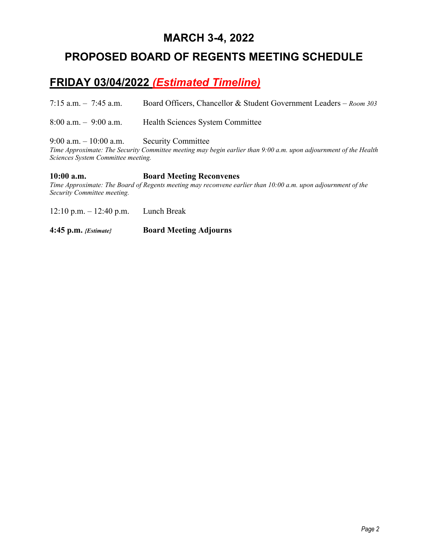#### **MARCH 3-4, 2022**

#### **PROPOSED BOARD OF REGENTS MEETING SCHEDULE**

## **FRIDAY 03/04/2022** *(Estimated Timeline)*

7:15 a.m. – 7:45 a.m. Board Officers, Chancellor & Student Government Leaders – *Room 303*

8:00 a.m. – 9:00 a.m. Health Sciences System Committee

9:00 a.m. – 10:00 a.m. Security Committee

*Time Approximate: The Security Committee meeting may begin earlier than 9:00 a.m. upon adjournment of the Health Sciences System Committee meeting.*

#### **10:00 a.m. Board Meeting Reconvenes**

*Time Approximate: The Board of Regents meeting may reconvene earlier than 10:00 a.m. upon adjournment of the Security Committee meeting.*

12:10 p.m. – 12:40 p.m. Lunch Break

**4:45 p.m.** *{Estimate}* **Board Meeting Adjourns**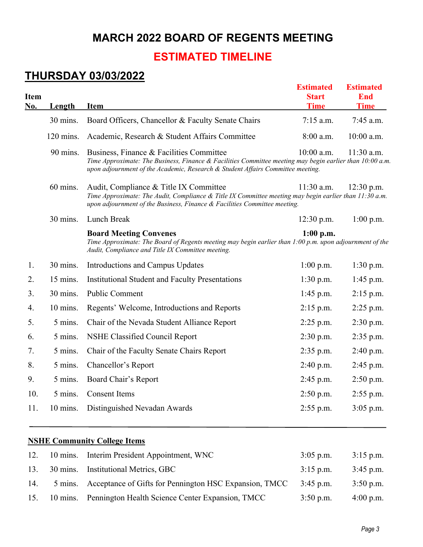### **MARCH 2022 BOARD OF REGENTS MEETING**

## **ESTIMATED TIMELINE**

## **THURSDAY 03/03/2022**

| Item<br><u>No.</u> | Length    | <b>Item</b>                                                                                                                                                                                                                             | <b>Estimated</b><br><b>Start</b><br><b>Time</b> | <b>Estimated</b><br><b>End</b><br><b>Time</b> |
|--------------------|-----------|-----------------------------------------------------------------------------------------------------------------------------------------------------------------------------------------------------------------------------------------|-------------------------------------------------|-----------------------------------------------|
|                    | 30 mins.  | Board Officers, Chancellor & Faculty Senate Chairs                                                                                                                                                                                      | $7:15$ a.m.                                     | 7:45 a.m.                                     |
|                    | 120 mins. | Academic, Research & Student Affairs Committee                                                                                                                                                                                          | 8:00 a.m.                                       | 10:00 a.m.                                    |
|                    | 90 mins.  | Business, Finance & Facilities Committee<br>Time Approximate: The Business, Finance & Facilities Committee meeting may begin earlier than 10:00 a.m.<br>upon adjournment of the Academic, Research & Student Affairs Committee meeting. | 10:00 a.m.                                      | 11:30 a.m.                                    |
|                    | 60 mins.  | Audit, Compliance & Title IX Committee<br>Time Approximate: The Audit, Compliance & Title IX Committee meeting may begin earlier than 11:30 a.m.<br>upon adjournment of the Business, Finance & Facilities Committee meeting.           | $11:30$ a.m.                                    | $12:30$ p.m.                                  |
|                    | 30 mins.  | Lunch Break                                                                                                                                                                                                                             | $12:30$ p.m.                                    | $1:00$ p.m.                                   |
|                    |           | <b>Board Meeting Convenes</b><br>Time Approximate: The Board of Regents meeting may begin earlier than 1:00 p.m. upon adjournment of the<br>Audit, Compliance and Title IX Committee meeting.                                           | $1:00$ p.m.                                     |                                               |
| 1.                 | 30 mins.  | Introductions and Campus Updates                                                                                                                                                                                                        | $1:00$ p.m.                                     | $1:30$ p.m.                                   |
| 2.                 | 15 mins.  | <b>Institutional Student and Faculty Presentations</b>                                                                                                                                                                                  | $1:30$ p.m.                                     | $1:45$ p.m.                                   |
| 3.                 | 30 mins.  | <b>Public Comment</b>                                                                                                                                                                                                                   | $1:45$ p.m.                                     | $2:15$ p.m.                                   |
| 4.                 | 10 mins.  | Regents' Welcome, Introductions and Reports                                                                                                                                                                                             | $2:15$ p.m.                                     | $2:25$ p.m.                                   |
| 5.                 | 5 mins.   | Chair of the Nevada Student Alliance Report                                                                                                                                                                                             | $2:25$ p.m.                                     | $2:30$ p.m.                                   |
| 6.                 | 5 mins.   | NSHE Classified Council Report                                                                                                                                                                                                          | 2:30 p.m.                                       | $2:35$ p.m.                                   |
| 7.                 | 5 mins.   | Chair of the Faculty Senate Chairs Report                                                                                                                                                                                               | $2:35$ p.m.                                     | 2:40 p.m.                                     |
| 8.                 | 5 mins.   | Chancellor's Report                                                                                                                                                                                                                     | 2:40 p.m.                                       | 2:45 p.m.                                     |
| 9.                 | 5 mins.   | Board Chair's Report                                                                                                                                                                                                                    | $2:45$ p.m.                                     | $2:50$ p.m.                                   |
| 10.                | 5 mins.   | <b>Consent Items</b>                                                                                                                                                                                                                    | 2:50 p.m.                                       | 2:55 p.m.                                     |
| 11.                | 10 mins.  | Distinguished Nevadan Awards                                                                                                                                                                                                            | $2:55$ p.m.                                     | 3:05 p.m.                                     |
|                    |           | <b>NSHE Community College Items</b>                                                                                                                                                                                                     |                                                 |                                               |
| 12.                | 10 mins.  | Interim President Appointment, WNC                                                                                                                                                                                                      | $3:05$ p.m.                                     | $3:15$ p.m.                                   |

| 13. | 30 mins. Institutional Metrics, GBC                                      | $3:15$ p.m. | $3:45$ p.m. |
|-----|--------------------------------------------------------------------------|-------------|-------------|
| 14. | 5 mins. Acceptance of Gifts for Pennington HSC Expansion, TMCC 3:45 p.m. |             | $3:50$ p.m. |
|     | 15. 10 mins. Pennington Health Science Center Expansion, TMCC            | $3:50$ p.m. | 4:00 p.m.   |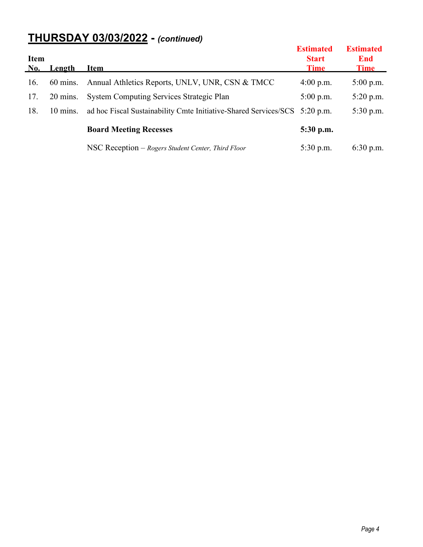# **THURSDAY 03/03/2022 -** *(continued)*

| <b>Item</b><br><b>No.</b> | Length             | <b>Item</b>                                                                | <b>Estimated</b><br><b>Start</b><br><b>Time</b> | <b>Estimated</b><br>End<br><b>Time</b> |
|---------------------------|--------------------|----------------------------------------------------------------------------|-------------------------------------------------|----------------------------------------|
| 16.                       | $60$ mins.         | Annual Athletics Reports, UNLV, UNR, CSN & TMCC                            | $4:00$ p.m.                                     | $5:00$ p.m.                            |
| 17.                       | $20 \text{ mins}.$ | <b>System Computing Services Strategic Plan</b>                            | $5:00$ p.m.                                     | $5:20$ p.m.                            |
| 18.                       | $10 \text{ mins}.$ | ad hoc Fiscal Sustainability Cmte Initiative-Shared Services/SCS 5:20 p.m. |                                                 | $5:30$ p.m.                            |
|                           |                    | <b>Board Meeting Recesses</b>                                              | $5:30$ p.m.                                     |                                        |
|                           |                    | NSC Reception – Rogers Student Center, Third Floor                         | $5:30$ p.m.                                     | $6:30$ p.m.                            |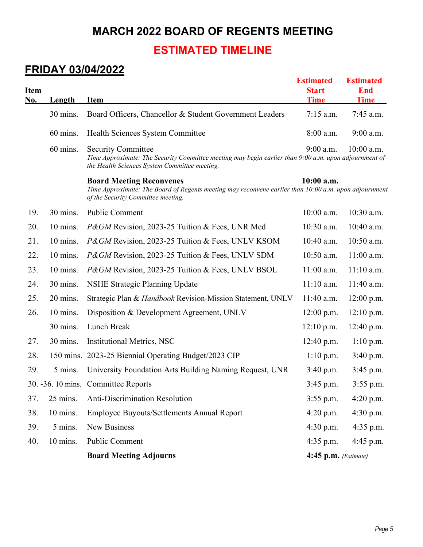### **MARCH 2022 BOARD OF REGENTS MEETING**

#### **ESTIMATED TIMELINE**

#### **FRIDAY 03/04/2022**

| <b>Item</b><br>No. | <b>Length</b> | <b>Item</b>                                                                                                                                                                         | <b>Estimated</b><br><b>Start</b><br><b>Time</b> | <b>Estimated</b><br><b>End</b><br><b>Time</b> |
|--------------------|---------------|-------------------------------------------------------------------------------------------------------------------------------------------------------------------------------------|-------------------------------------------------|-----------------------------------------------|
|                    | 30 mins.      | Board Officers, Chancellor & Student Government Leaders                                                                                                                             | $7:15$ a.m.                                     | 7:45 a.m.                                     |
|                    | 60 mins.      | Health Sciences System Committee                                                                                                                                                    | 8:00 a.m.                                       | 9:00 a.m.                                     |
|                    | 60 mins.      | <b>Security Committee</b><br>Time Approximate: The Security Committee meeting may begin earlier than 9:00 a.m. upon adjournment of<br>the Health Sciences System Committee meeting. | $9:00$ a.m.                                     | $10:00$ a.m.                                  |
|                    |               | <b>Board Meeting Reconvenes</b><br>Time Approximate: The Board of Regents meeting may reconvene earlier than 10:00 a.m. upon adjournment<br>of the Security Committee meeting.      | $10:00$ a.m.                                    |                                               |
| 19.                | 30 mins.      | <b>Public Comment</b>                                                                                                                                                               | 10:00 a.m.                                      | 10:30 a.m.                                    |
| 20.                | 10 mins.      | <i>P&amp;GM</i> Revision, 2023-25 Tuition & Fees, UNR Med                                                                                                                           | 10:30 a.m.                                      | 10:40 a.m.                                    |
| 21.                | 10 mins.      | P&GM Revision, 2023-25 Tuition & Fees, UNLV KSOM                                                                                                                                    | 10:40 a.m.                                      | 10:50 a.m.                                    |
| 22.                | 10 mins.      | P&GM Revision, 2023-25 Tuition & Fees, UNLV SDM                                                                                                                                     | 10:50 a.m.                                      | 11:00 a.m.                                    |
| 23.                | 10 mins.      | P&GM Revision, 2023-25 Tuition & Fees, UNLV BSOL                                                                                                                                    | $11:00$ a.m.                                    | $11:10$ a.m.                                  |
| 24.                | 30 mins.      | <b>NSHE Strategic Planning Update</b>                                                                                                                                               | $11:10$ a.m.                                    | 11:40 a.m.                                    |
| 25.                | 20 mins.      | Strategic Plan & Handbook Revision-Mission Statement, UNLV                                                                                                                          | 11:40 a.m.                                      | 12:00 p.m.                                    |
| 26.                | 10 mins.      | Disposition & Development Agreement, UNLV                                                                                                                                           | 12:00 p.m.                                      | $12:10$ p.m.                                  |
|                    | 30 mins.      | Lunch Break                                                                                                                                                                         | $12:10$ p.m.                                    | 12:40 p.m.                                    |
| 27.                | 30 mins.      | <b>Institutional Metrics, NSC</b>                                                                                                                                                   | 12:40 p.m.                                      | $1:10$ p.m.                                   |
| 28.                |               | 150 mins. 2023-25 Biennial Operating Budget/2023 CIP                                                                                                                                | $1:10$ p.m.                                     | 3:40 p.m.                                     |
| 29.                | 5 mins.       | University Foundation Arts Building Naming Request, UNR                                                                                                                             | 3:40 p.m.                                       | $3:45$ p.m.                                   |
|                    |               | 30. -36. 10 mins. Committee Reports                                                                                                                                                 | 3:45 p.m.                                       | 3:55 p.m.                                     |
| 37.                | 25 mins.      | Anti-Discrimination Resolution                                                                                                                                                      | $3:55$ p.m.                                     | 4:20 p.m.                                     |
| 38.                | 10 mins.      | Employee Buyouts/Settlements Annual Report                                                                                                                                          | $4:20$ p.m.                                     | 4:30 p.m.                                     |
| 39.                | 5 mins.       | <b>New Business</b>                                                                                                                                                                 | $4:30$ p.m.                                     | $4:35$ p.m.                                   |
| 40.                | 10 mins.      | Public Comment                                                                                                                                                                      | $4:35$ p.m.                                     | $4:45$ p.m.                                   |
|                    |               | <b>Board Meeting Adjourns</b>                                                                                                                                                       | 4:45 p.m. {Estimate}                            |                                               |